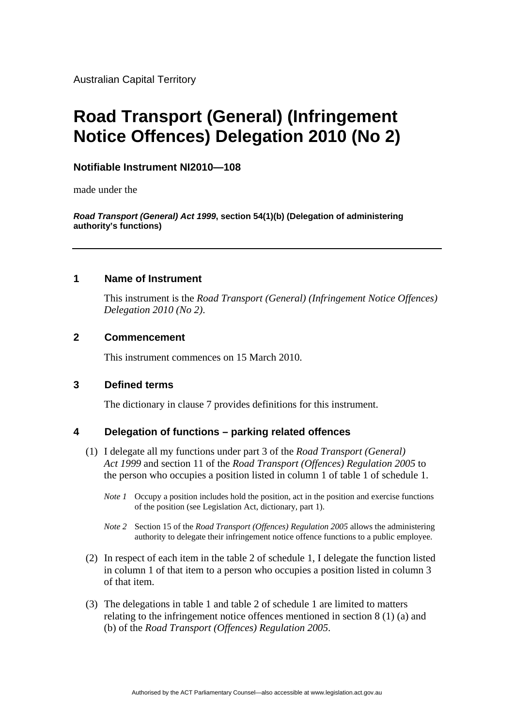Australian Capital Territory

# **Road Transport (General) (Infringement Notice Offences) Delegation 2010 (No 2)**

# **Notifiable Instrument NI2010—108**

made under the

*Road Transport (General) Act 1999***, section 54(1)(b) (Delegation of administering authority's functions)** 

## **1 Name of Instrument**

This instrument is the *Road Transport (General) (Infringement Notice Offences) Delegation 2010 (No 2)*.

## **2 Commencement**

This instrument commences on 15 March 2010.

## **3 Defined terms**

The dictionary in clause 7 provides definitions for this instrument.

## **4 Delegation of functions – parking related offences**

- (1) I delegate all my functions under part 3 of the *Road Transport (General) Act 1999* and section 11 of the *Road Transport (Offences) Regulation 2005* to the person who occupies a position listed in column 1 of table 1 of schedule 1.
	- *Note 1* Occupy a position includes hold the position, act in the position and exercise functions of the position (see Legislation Act, dictionary, part 1).
	- *Note 2* Section 15 of the *Road Transport (Offences) Regulation 2005* allows the administering authority to delegate their infringement notice offence functions to a public employee.
- (2) In respect of each item in the table 2 of schedule 1, I delegate the function listed in column 1 of that item to a person who occupies a position listed in column 3 of that item.
- (3) The delegations in table 1 and table 2 of schedule 1 are limited to matters relating to the infringement notice offences mentioned in section 8 (1) (a) and (b) of the *Road Transport (Offences) Regulation 2005*.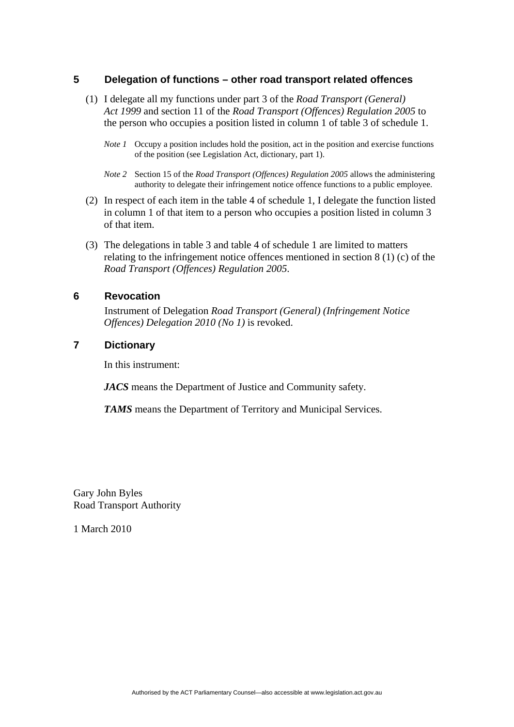# **5 Delegation of functions – other road transport related offences**

- (1) I delegate all my functions under part 3 of the *Road Transport (General) Act 1999* and section 11 of the *Road Transport (Offences) Regulation 2005* to the person who occupies a position listed in column 1 of table 3 of schedule 1.
	- *Note 1* Occupy a position includes hold the position, act in the position and exercise functions of the position (see Legislation Act, dictionary, part 1).
	- *Note 2* Section 15 of the *Road Transport (Offences) Regulation 2005* allows the administering authority to delegate their infringement notice offence functions to a public employee.
- (2) In respect of each item in the table 4 of schedule 1, I delegate the function listed in column 1 of that item to a person who occupies a position listed in column 3 of that item.
- (3) The delegations in table 3 and table 4 of schedule 1 are limited to matters relating to the infringement notice offences mentioned in section 8 (1) (c) of the *Road Transport (Offences) Regulation 2005*.

## **6 Revocation**

Instrument of Delegation *Road Transport (General) (Infringement Notice Offences) Delegation 2010 (No 1)* is revoked.

## **7 Dictionary**

In this instrument:

*JACS* means the Department of Justice and Community safety.

*TAMS* means the Department of Territory and Municipal Services.

Gary John Byles Road Transport Authority

1 March 2010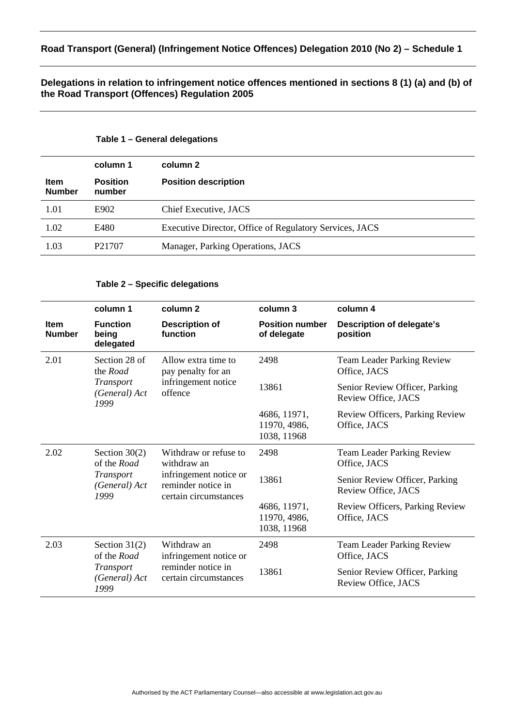## **Delegations in relation to infringement notice offences mentioned in sections 8 (1) (a) and (b) of the Road Transport (Offences) Regulation 2005**

#### **Table 1 – General delegations**

|                              | column 1                  | column 2                                                |
|------------------------------|---------------------------|---------------------------------------------------------|
| <b>Item</b><br><b>Number</b> | <b>Position</b><br>number | <b>Position description</b>                             |
| 1.01                         | E902                      | Chief Executive, JACS                                   |
| 1.02                         | E480                      | Executive Director, Office of Regulatory Services, JACS |
| 1.03                         | P <sub>2</sub> 1707       | Manager, Parking Operations, JACS                       |

#### **Table 2 – Specific delegations**

|                              | column 1                                                             | column <sub>2</sub>                                                                                           | column 3                                    | column 4                                              |
|------------------------------|----------------------------------------------------------------------|---------------------------------------------------------------------------------------------------------------|---------------------------------------------|-------------------------------------------------------|
| <b>Item</b><br><b>Number</b> | <b>Function</b><br>being<br>delegated                                | <b>Description of</b><br>function                                                                             | <b>Position number</b><br>of delegate       | <b>Description of delegate's</b><br>position          |
| 2.01                         | Section 28 of<br>the Road<br>Transport<br>(General) Act<br>1999      | Allow extra time to<br>pay penalty for an<br>infringement notice<br>offence                                   | 2498                                        | <b>Team Leader Parking Review</b><br>Office, JACS     |
|                              |                                                                      |                                                                                                               | 13861                                       | Senior Review Officer, Parking<br>Review Office, JACS |
|                              |                                                                      |                                                                                                               | 4686, 11971,<br>11970, 4986,<br>1038, 11968 | Review Officers, Parking Review<br>Office, JACS       |
| 2.02                         | Section $30(2)$<br>of the Road<br>Transport<br>(General) Act<br>1999 | Withdraw or refuse to<br>withdraw an<br>infringement notice or<br>reminder notice in<br>certain circumstances | 2498                                        | <b>Team Leader Parking Review</b><br>Office, JACS     |
|                              |                                                                      |                                                                                                               | 13861                                       | Senior Review Officer, Parking<br>Review Office, JACS |
|                              |                                                                      |                                                                                                               | 4686, 11971,<br>11970, 4986,<br>1038, 11968 | Review Officers, Parking Review<br>Office, JACS       |
| 2.03                         | Section $31(2)$<br>of the Road<br>Transport<br>(General) Act<br>1999 | Withdraw an<br>infringement notice or<br>reminder notice in<br>certain circumstances                          | 2498                                        | <b>Team Leader Parking Review</b><br>Office, JACS     |
|                              |                                                                      |                                                                                                               | 13861                                       | Senior Review Officer, Parking<br>Review Office, JACS |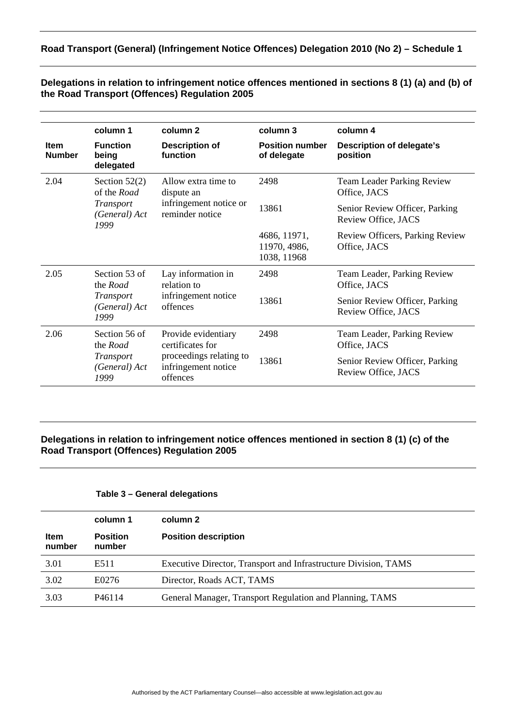# **Road Transport (General) (Infringement Notice Offences) Delegation 2010 (No 2) – Schedule 1**

|                              | column 1                                                               | column 2                                                                                              | column 3                                    | column 4                                              |
|------------------------------|------------------------------------------------------------------------|-------------------------------------------------------------------------------------------------------|---------------------------------------------|-------------------------------------------------------|
| <b>Item</b><br><b>Number</b> | <b>Function</b><br>being<br>delegated                                  | <b>Description of</b><br>function                                                                     | <b>Position number</b><br>of delegate       | <b>Description of delegate's</b><br>position          |
| 2.04                         | Section $52(2)$<br>of the Road                                         | Allow extra time to<br>dispute an                                                                     | 2498                                        | <b>Team Leader Parking Review</b><br>Office, JACS     |
|                              | Transport<br>(General) Act<br>1999                                     | infringement notice or<br>reminder notice                                                             | 13861                                       | Senior Review Officer, Parking<br>Review Office, JACS |
|                              |                                                                        |                                                                                                       | 4686, 11971,<br>11970, 4986,<br>1038, 11968 | Review Officers, Parking Review<br>Office, JACS       |
| 2.05                         | Section 53 of<br>the <i>Road</i><br>Transport<br>(General) Act<br>1999 | Lay information in<br>relation to<br>infringement notice<br>offences                                  | 2498                                        | Team Leader, Parking Review<br>Office, JACS           |
|                              |                                                                        |                                                                                                       | 13861                                       | Senior Review Officer, Parking<br>Review Office, JACS |
| 2.06                         | Section 56 of<br>the Road<br>Transport<br>(General) Act<br>1999        | Provide evidentiary<br>certificates for<br>proceedings relating to<br>infringement notice<br>offences | 2498                                        | Team Leader, Parking Review<br>Office, JACS           |
|                              |                                                                        |                                                                                                       | 13861                                       | Senior Review Officer, Parking<br>Review Office, JACS |

**Delegations in relation to infringement notice offences mentioned in sections 8 (1) (a) and (b) of the Road Transport (Offences) Regulation 2005** 

# **Delegations in relation to infringement notice offences mentioned in section 8 (1) (c) of the Road Transport (Offences) Regulation 2005**

#### **Table 3 – General delegations**

|                | column 1                  | column 2                                                        |
|----------------|---------------------------|-----------------------------------------------------------------|
| Item<br>number | <b>Position</b><br>number | <b>Position description</b>                                     |
| 3.01           | E511                      | Executive Director, Transport and Infrastructure Division, TAMS |
| 3.02           | E0276                     | Director, Roads ACT, TAMS                                       |
| 3.03           | P <sub>46</sub> 114       | General Manager, Transport Regulation and Planning, TAMS        |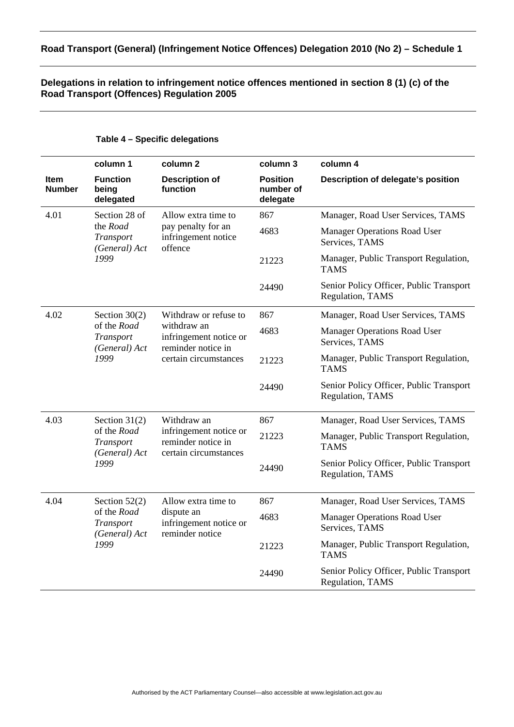# **Road Transport (General) (Infringement Notice Offences) Delegation 2010 (No 2) – Schedule 1**

## **Delegations in relation to infringement notice offences mentioned in section 8 (1) (c) of the Road Transport (Offences) Regulation 2005**

|                              | column 1                                                             | column <sub>2</sub>                                                                                           | column 3                                 | column 4                                                    |
|------------------------------|----------------------------------------------------------------------|---------------------------------------------------------------------------------------------------------------|------------------------------------------|-------------------------------------------------------------|
| <b>Item</b><br><b>Number</b> | <b>Function</b><br>being<br>delegated                                | <b>Description of</b><br>function                                                                             | <b>Position</b><br>number of<br>delegate | Description of delegate's position                          |
| 4.01                         | Section 28 of<br>the Road<br>Transport<br>(General) Act<br>1999      | Allow extra time to<br>pay penalty for an<br>infringement notice<br>offence                                   | 867                                      | Manager, Road User Services, TAMS                           |
|                              |                                                                      |                                                                                                               | 4683                                     | <b>Manager Operations Road User</b><br>Services, TAMS       |
|                              |                                                                      |                                                                                                               | 21223                                    | Manager, Public Transport Regulation,<br><b>TAMS</b>        |
|                              |                                                                      |                                                                                                               | 24490                                    | Senior Policy Officer, Public Transport<br>Regulation, TAMS |
| 4.02                         | Section $30(2)$<br>of the Road<br>Transport<br>(General) Act<br>1999 | Withdraw or refuse to<br>withdraw an<br>infringement notice or<br>reminder notice in<br>certain circumstances | 867                                      | Manager, Road User Services, TAMS                           |
|                              |                                                                      |                                                                                                               | 4683                                     | <b>Manager Operations Road User</b><br>Services, TAMS       |
|                              |                                                                      |                                                                                                               | 21223                                    | Manager, Public Transport Regulation,<br><b>TAMS</b>        |
|                              |                                                                      |                                                                                                               | 24490                                    | Senior Policy Officer, Public Transport<br>Regulation, TAMS |
| 4.03                         | Section $31(2)$<br>of the Road<br>Transport<br>(General) Act<br>1999 | Withdraw an<br>infringement notice or<br>reminder notice in<br>certain circumstances                          | 867                                      | Manager, Road User Services, TAMS                           |
|                              |                                                                      |                                                                                                               | 21223                                    | Manager, Public Transport Regulation,<br><b>TAMS</b>        |
|                              |                                                                      |                                                                                                               | 24490                                    | Senior Policy Officer, Public Transport<br>Regulation, TAMS |
| 4.04                         | Section $52(2)$<br>of the Road<br>Transport<br>(General) Act<br>1999 | Allow extra time to<br>dispute an<br>infringement notice or<br>reminder notice                                | 867                                      | Manager, Road User Services, TAMS                           |
|                              |                                                                      |                                                                                                               | 4683                                     | <b>Manager Operations Road User</b><br>Services, TAMS       |
|                              |                                                                      |                                                                                                               | 21223                                    | Manager, Public Transport Regulation,<br><b>TAMS</b>        |
|                              |                                                                      |                                                                                                               | 24490                                    | Senior Policy Officer, Public Transport<br>Regulation, TAMS |

# **Table 4 – Specific delegations**